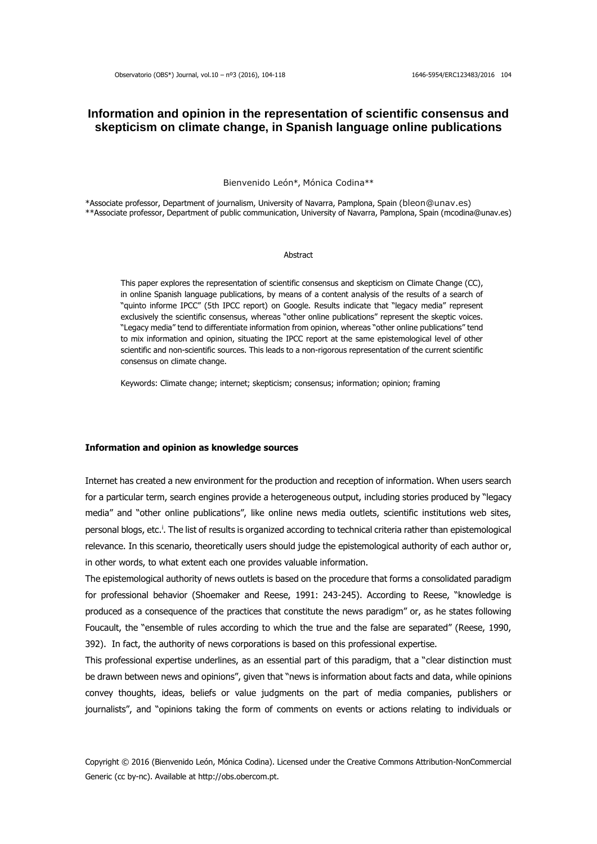# **Information and opinion in the representation of scientific consensus and skepticism on climate change, in Spanish language online publications**

Bienvenido León\*, Mónica Codina\*\*

\*Associate professor, Department of journalism, University of Navarra, Pamplona, Spain (bleon@unav.es) \*\*Associate professor, Department of public communication, University of Navarra, Pamplona, Spain (mcodina@unav.es)

#### **Abstract**

This paper explores the representation of scientific consensus and skepticism on Climate Change (CC), in online Spanish language publications, by means of a content analysis of the results of a search of "quinto informe IPCC" (5th IPCC report) on Google. Results indicate that "legacy media" represent exclusively the scientific consensus, whereas "other online publications" represent the skeptic voices. "Legacy media" tend to differentiate information from opinion, whereas "other online publications" tend to mix information and opinion, situating the IPCC report at the same epistemological level of other scientific and non-scientific sources. This leads to a non-rigorous representation of the current scientific consensus on climate change.

Keywords: Climate change; internet; skepticism; consensus; information; opinion; framing

#### **Information and opinion as knowledge sources**

Internet has created a new environment for the production and reception of information. When users search for a particular term, search engines provide a heterogeneous output, including stories produced by "legacy media" and "other online publications", like online news media outlets, scientific institutions web sites, personal blogs, etc.<sup>i</sup>. The list of results is organized according to technical criteria rather than epistemological relevance. In this scenario, theoretically users should judge the epistemological authority of each author or, in other words, to what extent each one provides valuable information.

The epistemological authority of news outlets is based on the procedure that forms a consolidated paradigm for professional behavior (Shoemaker and Reese, 1991: 243-245). According to Reese, "knowledge is produced as a consequence of the practices that constitute the news paradigm" or, as he states following Foucault, the "ensemble of rules according to which the true and the false are separated" (Reese, 1990, 392). In fact, the authority of news corporations is based on this professional expertise.

This professional expertise underlines, as an essential part of this paradigm, that a "clear distinction must be drawn between news and opinions", given that "news is information about facts and data, while opinions convey thoughts, ideas, beliefs or value judgments on the part of media companies, publishers or journalists", and "opinions taking the form of comments on events or actions relating to individuals or

Copyright © 2016 (Bienvenido León, Mónica Codina). Licensed under the Creative Commons Attribution-NonCommercial Generic (cc by-nc). Available at http://obs.obercom.pt.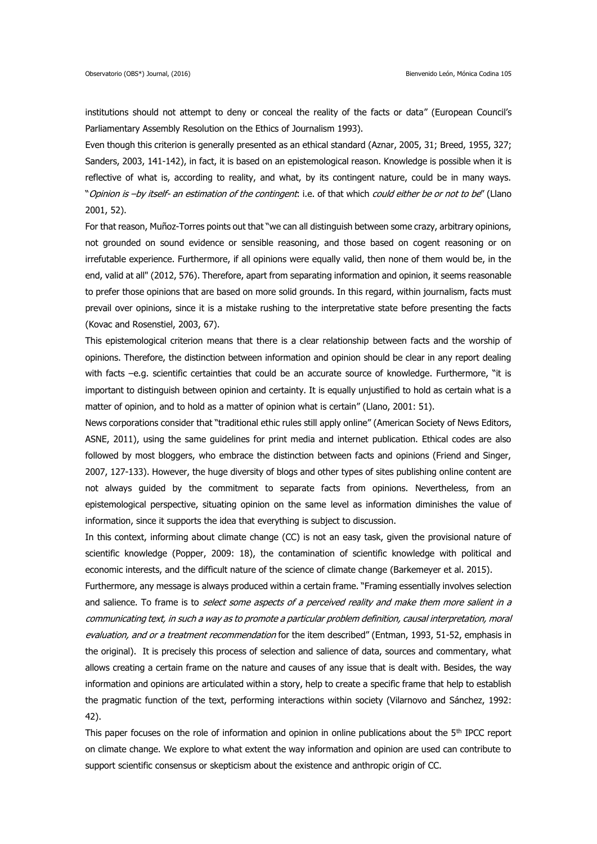institutions should not attempt to deny or conceal the reality of the facts or data" (European Council's Parliamentary Assembly Resolution on the Ethics of Journalism 1993).

Even though this criterion is generally presented as an ethical standard (Aznar, 2005, 31; Breed, 1955, 327; Sanders, 2003, 141-142), in fact, it is based on an epistemological reason. Knowledge is possible when it is reflective of what is, according to reality, and what, by its contingent nature, could be in many ways. "Opinion is -by itself- an estimation of the contingent: i.e. of that which could either be or not to be" (Llano 2001, 52).

For that reason, Muñoz-Torres points out that "we can all distinguish between some crazy, arbitrary opinions, not grounded on sound evidence or sensible reasoning, and those based on cogent reasoning or on irrefutable experience. Furthermore, if all opinions were equally valid, then none of them would be, in the end, valid at all" (2012, 576). Therefore, apart from separating information and opinion, it seems reasonable to prefer those opinions that are based on more solid grounds. In this regard, within journalism, facts must prevail over opinions, since it is a mistake rushing to the interpretative state before presenting the facts (Kovac and Rosenstiel, 2003, 67).

This epistemological criterion means that there is a clear relationship between facts and the worship of opinions. Therefore, the distinction between information and opinion should be clear in any report dealing with facts –e.g. scientific certainties that could be an accurate source of knowledge. Furthermore, "it is important to distinguish between opinion and certainty. It is equally unjustified to hold as certain what is a matter of opinion, and to hold as a matter of opinion what is certain" (Llano, 2001: 51).

News corporations consider that "traditional ethic rules still apply online" (American Society of News Editors, ASNE, 2011), using the same guidelines for print media and internet publication. Ethical codes are also followed by most bloggers, who embrace the distinction between facts and opinions (Friend and Singer, 2007, 127-133). However, the huge diversity of blogs and other types of sites publishing online content are not always guided by the commitment to separate facts from opinions. Nevertheless, from an epistemological perspective, situating opinion on the same level as information diminishes the value of information, since it supports the idea that everything is subject to discussion.

In this context, informing about climate change (CC) is not an easy task, given the provisional nature of scientific knowledge (Popper, 2009: 18), the contamination of scientific knowledge with political and economic interests, and the difficult nature of the science of climate change (Barkemeyer et al. 2015).

Furthermore, any message is always produced within a certain frame. "Framing essentially involves selection and salience. To frame is to select some aspects of a perceived reality and make them more salient in a communicating text, in such a way as to promote a particular problem definition, causal interpretation, moral evaluation, and or a treatment recommendation for the item described" (Entman, 1993, 51-52, emphasis in the original). It is precisely this process of selection and salience of data, sources and commentary, what allows creating a certain frame on the nature and causes of any issue that is dealt with. Besides, the way information and opinions are articulated within a story, help to create a specific frame that help to establish the pragmatic function of the text, performing interactions within society (Vilarnovo and Sánchez, 1992: 42).

This paper focuses on the role of information and opinion in online publications about the 5<sup>th</sup> IPCC report on climate change. We explore to what extent the way information and opinion are used can contribute to support scientific consensus or skepticism about the existence and anthropic origin of CC.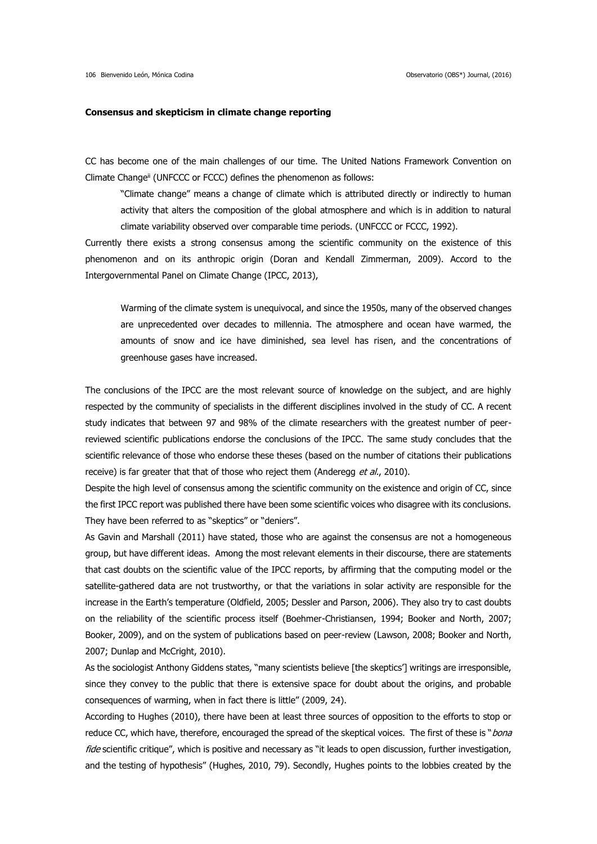#### **Consensus and skepticism in climate change reporting**

CC has become one of the main challenges of our time. The United Nations Framework Convention on Climate Change<sup>ii</sup> (UNFCCC or FCCC) defines the phenomenon as follows:

"Climate change" means a change of climate which is attributed directly or indirectly to human activity that alters the composition of the global atmosphere and which is in addition to natural climate variability observed over comparable time periods. (UNFCCC or FCCC, 1992).

Currently there exists a strong consensus among the scientific community on the existence of this phenomenon and on its anthropic origin (Doran and Kendall Zimmerman, 2009). Accord to the Intergovernmental Panel on Climate Change (IPCC, 2013),

Warming of the climate system is unequivocal, and since the 1950s, many of the observed changes are unprecedented over decades to millennia. The atmosphere and ocean have warmed, the amounts of snow and ice have diminished, sea level has risen, and the concentrations of greenhouse gases have increased.

The conclusions of the IPCC are the most relevant source of knowledge on the subject, and are highly respected by the community of specialists in the different disciplines involved in the study of CC. A recent study indicates that between 97 and 98% of the climate researchers with the greatest number of peerreviewed scientific publications endorse the conclusions of the IPCC. The same study concludes that the scientific relevance of those who endorse these theses (based on the number of citations their publications receive) is far greater that that of those who reject them (Anderegg et al., 2010).

Despite the high level of consensus among the scientific community on the existence and origin of CC, since the first IPCC report was published there have been some scientific voices who disagree with its conclusions. They have been referred to as "skeptics" or "deniers".

As Gavin and Marshall (2011) have stated, those who are against the consensus are not a homogeneous group, but have different ideas. Among the most relevant elements in their discourse, there are statements that cast doubts on the scientific value of the IPCC reports, by affirming that the computing model or the satellite-gathered data are not trustworthy, or that the variations in solar activity are responsible for the increase in the Earth's temperature (Oldfield, 2005; Dessler and Parson, 2006). They also try to cast doubts on the reliability of the scientific process itself (Boehmer-Christiansen, 1994; Booker and North, 2007; Booker, 2009), and on the system of publications based on peer-review (Lawson, 2008; Booker and North, 2007; Dunlap and McCright, 2010).

As the sociologist Anthony Giddens states, "many scientists believe [the skeptics'] writings are irresponsible, since they convey to the public that there is extensive space for doubt about the origins, and probable consequences of warming, when in fact there is little" (2009, 24).

According to Hughes (2010), there have been at least three sources of opposition to the efforts to stop or reduce CC, which have, therefore, encouraged the spread of the skeptical voices. The first of these is "*bona* fide scientific critique", which is positive and necessary as "it leads to open discussion, further investigation, and the testing of hypothesis" (Hughes, 2010, 79). Secondly, Hughes points to the lobbies created by the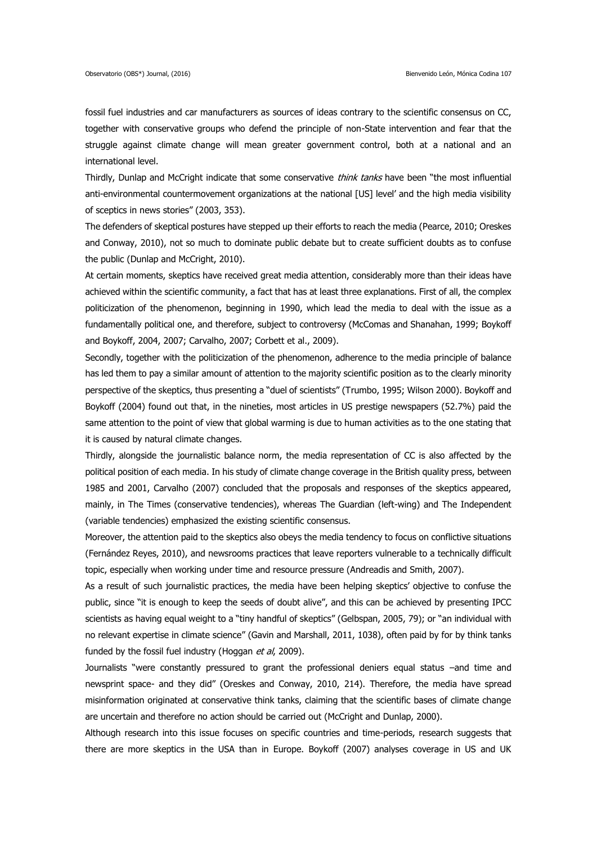fossil fuel industries and car manufacturers as sources of ideas contrary to the scientific consensus on CC, together with conservative groups who defend the principle of non-State intervention and fear that the struggle against climate change will mean greater government control, both at a national and an international level.

Thirdly, Dunlap and McCright indicate that some conservative think tanks have been "the most influential anti-environmental countermovement organizations at the national [US] level' and the high media visibility of sceptics in news stories" (2003, 353).

The defenders of skeptical postures have stepped up their efforts to reach the media (Pearce, 2010; Oreskes and Conway, 2010), not so much to dominate public debate but to create sufficient doubts as to confuse the public (Dunlap and McCright, 2010).

At certain moments, skeptics have received great media attention, considerably more than their ideas have achieved within the scientific community, a fact that has at least three explanations. First of all, the complex politicization of the phenomenon, beginning in 1990, which lead the media to deal with the issue as a fundamentally political one, and therefore, subject to controversy (McComas and Shanahan, 1999; Boykoff and Boykoff, 2004, 2007; Carvalho, 2007; Corbett et al., 2009).

Secondly, together with the politicization of the phenomenon, adherence to the media principle of balance has led them to pay a similar amount of attention to the majority scientific position as to the clearly minority perspective of the skeptics, thus presenting a "duel of scientists" (Trumbo, 1995; Wilson 2000). Boykoff and Boykoff (2004) found out that, in the nineties, most articles in US prestige newspapers (52.7%) paid the same attention to the point of view that global warming is due to human activities as to the one stating that it is caused by natural climate changes.

Thirdly, alongside the journalistic balance norm, the media representation of CC is also affected by the political position of each media. In his study of climate change coverage in the British quality press, between 1985 and 2001, Carvalho (2007) concluded that the proposals and responses of the skeptics appeared, mainly, in The Times (conservative tendencies), whereas The Guardian (left-wing) and The Independent (variable tendencies) emphasized the existing scientific consensus.

Moreover, the attention paid to the skeptics also obeys the media tendency to focus on conflictive situations (Fernández Reyes, 2010), and newsrooms practices that leave reporters vulnerable to a technically difficult topic, especially when working under time and resource pressure (Andreadis and Smith, 2007).

As a result of such journalistic practices, the media have been helping skeptics' objective to confuse the public, since "it is enough to keep the seeds of doubt alive", and this can be achieved by presenting IPCC scientists as having equal weight to a "tiny handful of skeptics" (Gelbspan, 2005, 79); or "an individual with no relevant expertise in climate science" (Gavin and Marshall, 2011, 1038), often paid by for by think tanks funded by the fossil fuel industry (Hoggan et al, 2009).

Journalists "were constantly pressured to grant the professional deniers equal status –and time and newsprint space- and they did" (Oreskes and Conway, 2010, 214). Therefore, the media have spread misinformation originated at conservative think tanks, claiming that the scientific bases of climate change are uncertain and therefore no action should be carried out (McCright and Dunlap, 2000).

Although research into this issue focuses on specific countries and time-periods, research suggests that there are more skeptics in the USA than in Europe. Boykoff (2007) analyses coverage in US and UK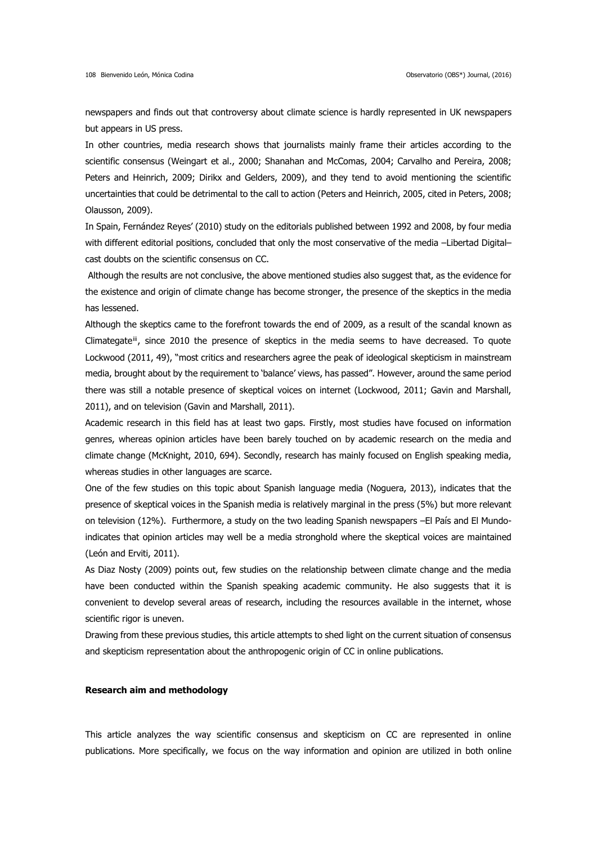newspapers and finds out that controversy about climate science is hardly represented in UK newspapers but appears in US press.

In other countries, media research shows that journalists mainly frame their articles according to the scientific consensus (Weingart et al., 2000; Shanahan and McComas, 2004; Carvalho and Pereira, 2008; Peters and Heinrich, 2009; Dirikx and Gelders, 2009), and they tend to avoid mentioning the scientific uncertainties that could be detrimental to the call to action (Peters and Heinrich, 2005, cited in Peters, 2008; Olausson, 2009).

In Spain, Fernández Reyes' (2010) study on the editorials published between 1992 and 2008, by four media with different editorial positions, concluded that only the most conservative of the media –Libertad Digital– cast doubts on the scientific consensus on CC.

Although the results are not conclusive, the above mentioned studies also suggest that, as the evidence for the existence and origin of climate change has become stronger, the presence of the skeptics in the media has lessened.

Although the skeptics came to the forefront towards the end of 2009, as a result of the scandal known as Climategate<sup>ii</sup>, since 2010 the presence of skeptics in the media seems to have decreased. To quote Lockwood (2011, 49), "most critics and researchers agree the peak of ideological skepticism in mainstream media, brought about by the requirement to 'balance' views, has passed". However, around the same period there was still a notable presence of skeptical voices on internet (Lockwood, 2011; Gavin and Marshall, 2011), and on television (Gavin and Marshall, 2011).

Academic research in this field has at least two gaps. Firstly, most studies have focused on information genres, whereas opinion articles have been barely touched on by academic research on the media and climate change (McKnight, 2010, 694). Secondly, research has mainly focused on English speaking media, whereas studies in other languages are scarce.

One of the few studies on this topic about Spanish language media (Noguera, 2013), indicates that the presence of skeptical voices in the Spanish media is relatively marginal in the press (5%) but more relevant on television (12%). Furthermore, a study on the two leading Spanish newspapers –El País and El Mundoindicates that opinion articles may well be a media stronghold where the skeptical voices are maintained (León and Erviti, 2011).

As Diaz Nosty (2009) points out, few studies on the relationship between climate change and the media have been conducted within the Spanish speaking academic community. He also suggests that it is convenient to develop several areas of research, including the resources available in the internet, whose scientific rigor is uneven.

Drawing from these previous studies, this article attempts to shed light on the current situation of consensus and skepticism representation about the anthropogenic origin of CC in online publications.

## **Research aim and methodology**

This article analyzes the way scientific consensus and skepticism on CC are represented in online publications. More specifically, we focus on the way information and opinion are utilized in both online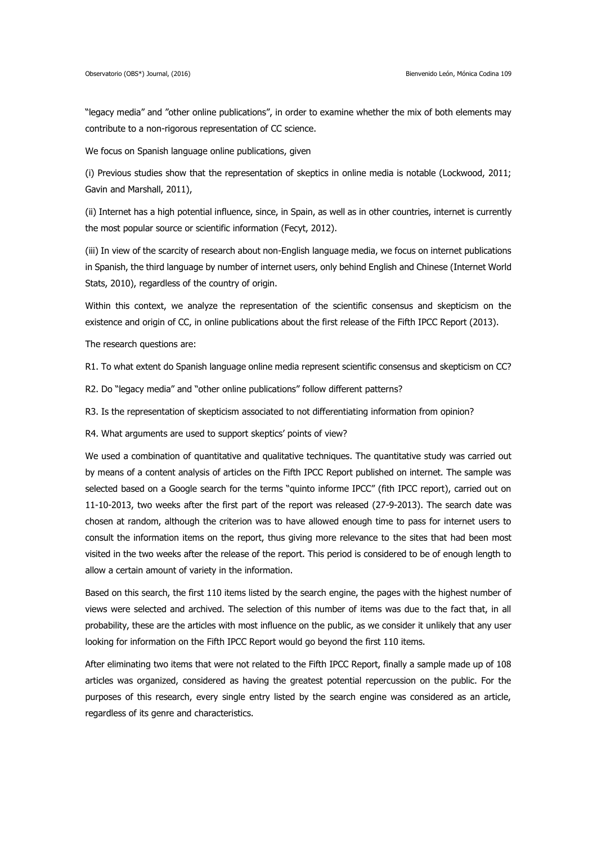"legacy media" and "other online publications", in order to examine whether the mix of both elements may contribute to a non-rigorous representation of CC science.

We focus on Spanish language online publications, given

(i) Previous studies show that the representation of skeptics in online media is notable (Lockwood, 2011; Gavin and Marshall, 2011),

(ii) Internet has a high potential influence, since, in Spain, as well as in other countries, internet is currently the most popular source or scientific information (Fecyt, 2012).

(iii) In view of the scarcity of research about non-English language media, we focus on internet publications in Spanish, the third language by number of internet users, only behind English and Chinese (Internet World Stats, 2010), regardless of the country of origin.

Within this context, we analyze the representation of the scientific consensus and skepticism on the existence and origin of CC, in online publications about the first release of the Fifth IPCC Report (2013).

The research questions are:

R1. To what extent do Spanish language online media represent scientific consensus and skepticism on CC?

R2. Do "legacy media" and "other online publications" follow different patterns?

R3. Is the representation of skepticism associated to not differentiating information from opinion?

R4. What arguments are used to support skeptics' points of view?

We used a combination of quantitative and qualitative techniques. The quantitative study was carried out by means of a content analysis of articles on the Fifth IPCC Report published on internet. The sample was selected based on a Google search for the terms "quinto informe IPCC" (fith IPCC report), carried out on 11-10-2013, two weeks after the first part of the report was released (27-9-2013). The search date was chosen at random, although the criterion was to have allowed enough time to pass for internet users to consult the information items on the report, thus giving more relevance to the sites that had been most visited in the two weeks after the release of the report. This period is considered to be of enough length to allow a certain amount of variety in the information.

Based on this search, the first 110 items listed by the search engine, the pages with the highest number of views were selected and archived. The selection of this number of items was due to the fact that, in all probability, these are the articles with most influence on the public, as we consider it unlikely that any user looking for information on the Fifth IPCC Report would go beyond the first 110 items.

After eliminating two items that were not related to the Fifth IPCC Report, finally a sample made up of 108 articles was organized, considered as having the greatest potential repercussion on the public. For the purposes of this research, every single entry listed by the search engine was considered as an article, regardless of its genre and characteristics.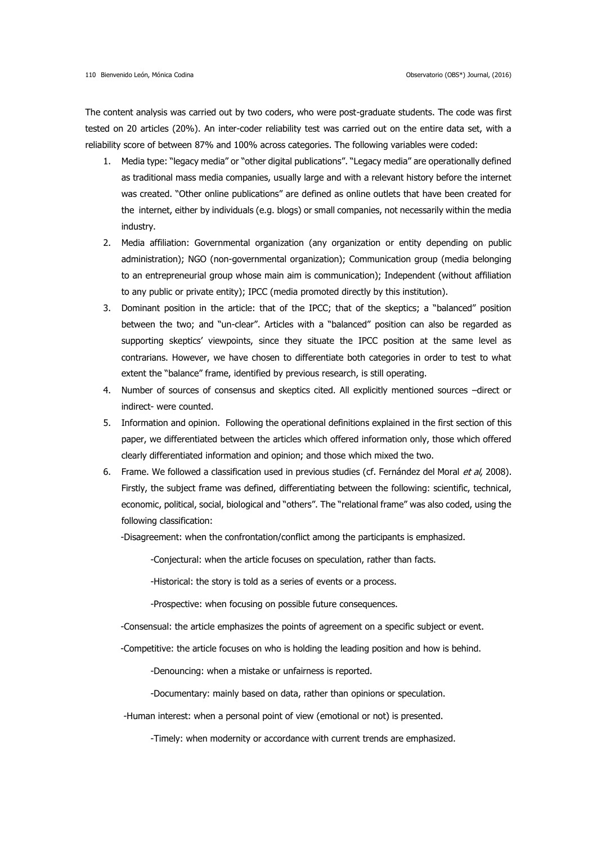The content analysis was carried out by two coders, who were post-graduate students. The code was first tested on 20 articles (20%). An inter-coder reliability test was carried out on the entire data set, with a reliability score of between 87% and 100% across categories. The following variables were coded:

- 1. Media type: "legacy media" or "other digital publications". "Legacy media" are operationally defined as traditional mass media companies, usually large and with a relevant history before the internet was created. "Other online publications" are defined as online outlets that have been created for the internet, either by individuals (e.g. blogs) or small companies, not necessarily within the media industry.
- 2. Media affiliation: Governmental organization (any organization or entity depending on public administration); NGO (non-governmental organization); Communication group (media belonging to an entrepreneurial group whose main aim is communication); Independent (without affiliation to any public or private entity); IPCC (media promoted directly by this institution).
- 3. Dominant position in the article: that of the IPCC; that of the skeptics; a "balanced" position between the two; and "un-clear". Articles with a "balanced" position can also be regarded as supporting skeptics' viewpoints, since they situate the IPCC position at the same level as contrarians. However, we have chosen to differentiate both categories in order to test to what extent the "balance" frame, identified by previous research, is still operating.
- 4. Number of sources of consensus and skeptics cited. All explicitly mentioned sources –direct or indirect- were counted.
- 5. Information and opinion. Following the operational definitions explained in the first section of this paper, we differentiated between the articles which offered information only, those which offered clearly differentiated information and opinion; and those which mixed the two.
- 6. Frame. We followed a classification used in previous studies (cf. Fernández del Moral et al, 2008). Firstly, the subject frame was defined, differentiating between the following: scientific, technical, economic, political, social, biological and "others". The "relational frame" was also coded, using the following classification:

-Disagreement: when the confrontation/conflict among the participants is emphasized.

-Conjectural: when the article focuses on speculation, rather than facts.

-Historical: the story is told as a series of events or a process.

-Prospective: when focusing on possible future consequences.

-Consensual: the article emphasizes the points of agreement on a specific subject or event.

-Competitive: the article focuses on who is holding the leading position and how is behind.

-Denouncing: when a mistake or unfairness is reported.

-Documentary: mainly based on data, rather than opinions or speculation.

-Human interest: when a personal point of view (emotional or not) is presented.

-Timely: when modernity or accordance with current trends are emphasized.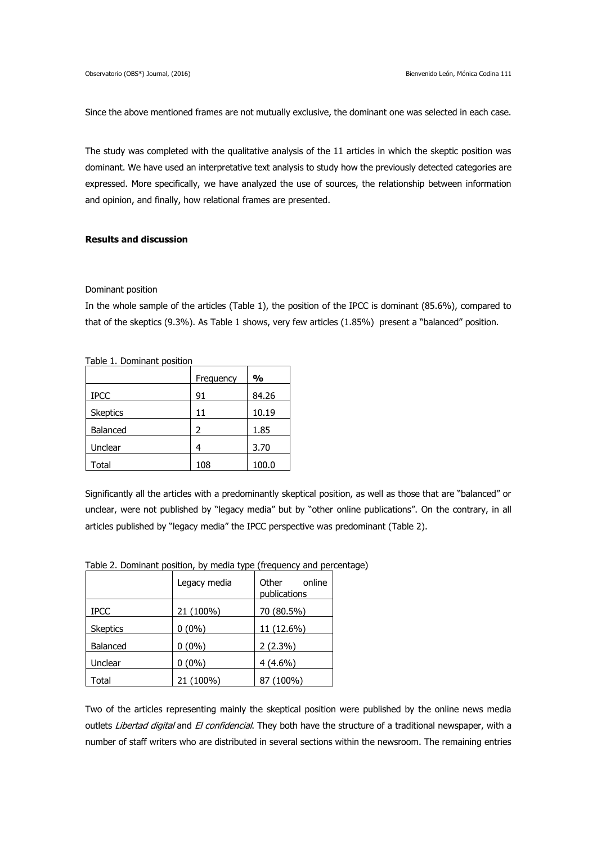Since the above mentioned frames are not mutually exclusive, the dominant one was selected in each case.

The study was completed with the qualitative analysis of the 11 articles in which the skeptic position was dominant. We have used an interpretative text analysis to study how the previously detected categories are expressed. More specifically, we have analyzed the use of sources, the relationship between information and opinion, and finally, how relational frames are presented.

# **Results and discussion**

#### Dominant position

In the whole sample of the articles (Table 1), the position of the IPCC is dominant (85.6%), compared to that of the skeptics (9.3%). As Table 1 shows, very few articles (1.85%) present a "balanced" position.

Table 1. Dominant position

|                 | Frequency | $\frac{0}{0}$ |
|-----------------|-----------|---------------|
| <b>IPCC</b>     | 91        | 84.26         |
| <b>Skeptics</b> | 11        | 10.19         |
| Balanced        | 2         | 1.85          |
| Unclear         | 4         | 3.70          |
| Total           | 108       | 100.0         |

Significantly all the articles with a predominantly skeptical position, as well as those that are "balanced" or unclear, were not published by "legacy media" but by "other online publications". On the contrary, in all articles published by "legacy media" the IPCC perspective was predominant (Table 2).

|                 | Legacy media | Other<br>online<br>publications |
|-----------------|--------------|---------------------------------|
| <b>IPCC</b>     | 21 (100%)    | 70 (80.5%)                      |
| <b>Skeptics</b> | $0(0\%)$     | 11 (12.6%)                      |
| Balanced        | $0(0\%)$     | $2(2.3\%)$                      |
| Unclear         | $0(0\%)$     | $4(4.6\%)$                      |
| Total           | 21 (100%)    | 87 (100%)                       |

Table 2. Dominant position, by media type (frequency and percentage)

Two of the articles representing mainly the skeptical position were published by the online news media outlets Libertad digital and El confidencial. They both have the structure of a traditional newspaper, with a number of staff writers who are distributed in several sections within the newsroom. The remaining entries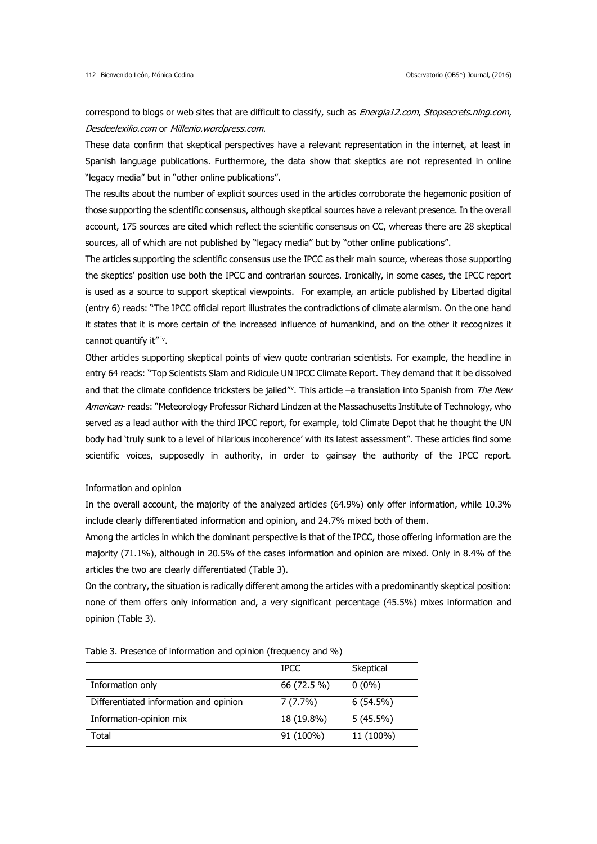correspond to blogs or web sites that are difficult to classify, such as *Energia12.com, Stopsecrets.ning.com*, Desdeelexilio.com or Millenio.wordpress.com.

These data confirm that skeptical perspectives have a relevant representation in the internet, at least in Spanish language publications. Furthermore, the data show that skeptics are not represented in online "legacy media" but in "other online publications".

The results about the number of explicit sources used in the articles corroborate the hegemonic position of those supporting the scientific consensus, although skeptical sources have a relevant presence. In the overall account, 175 sources are cited which reflect the scientific consensus on CC, whereas there are 28 skeptical sources, all of which are not published by "legacy media" but by "other online publications".

The articles supporting the scientific consensus use the IPCC as their main source, whereas those supporting the skeptics' position use both the IPCC and contrarian sources. Ironically, in some cases, the IPCC report is used as a source to support skeptical viewpoints. For example, an article published by Libertad digital (entry 6) reads: "The IPCC official report illustrates the contradictions of climate alarmism. On the one hand it states that it is more certain of the increased influence of humankind, and on the other it recognizes it cannot quantify it"<sup>iv</sup>.

Other articles supporting skeptical points of view quote contrarian scientists. For example, the headline in entry 64 reads: "Top Scientists Slam and Ridicule UN IPCC Climate Report. They demand that it be dissolved and that the climate confidence tricksters be jailed"<sup>v</sup>. This article -a translation into Spanish from The New American- reads: "Meteorology Professor Richard Lindzen at the Massachusetts Institute of Technology, who served as a lead author with the third IPCC report, for example, told Climate Depot that he thought the UN body had 'truly sunk to a level of hilarious incoherence' with its latest assessment". These articles find some scientific voices, supposedly in authority, in order to gainsay the authority of the IPCC report.

# Information and opinion

In the overall account, the majority of the analyzed articles (64.9%) only offer information, while 10.3% include clearly differentiated information and opinion, and 24.7% mixed both of them.

Among the articles in which the dominant perspective is that of the IPCC, those offering information are the majority (71.1%), although in 20.5% of the cases information and opinion are mixed. Only in 8.4% of the articles the two are clearly differentiated (Table 3).

On the contrary, the situation is radically different among the articles with a predominantly skeptical position: none of them offers only information and, a very significant percentage (45.5%) mixes information and opinion (Table 3).

|                                        | <b>IPCC</b> | Skeptical   |
|----------------------------------------|-------------|-------------|
| Information only                       | 66 (72.5 %) | $0(0\%)$    |
| Differentiated information and opinion | 7(7.7%)     | $6(54.5\%)$ |
| Information-opinion mix                | 18 (19.8%)  | $5(45.5\%)$ |
| Total                                  | 91 (100%)   | 11 (100%)   |

Table 3. Presence of information and opinion (frequency and %)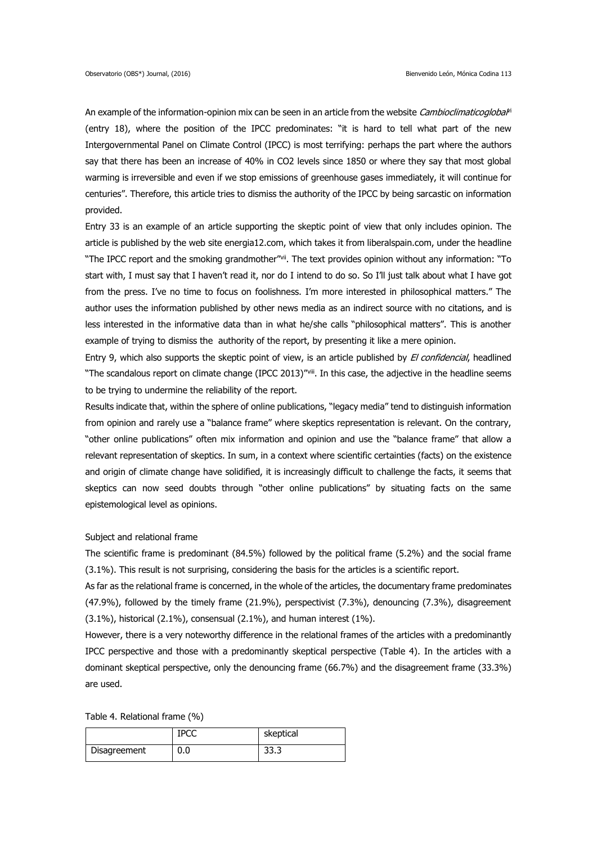An example of the information-opinion mix can be seen in an article from the website Cambioclimaticoglobal<sup>i</sup> (entry 18), where the position of the IPCC predominates: "it is hard to tell what part of the new Intergovernmental Panel on Climate Control (IPCC) is most terrifying: perhaps the part where the authors say that there has been an increase of 40% in CO2 levels since 1850 or where they say that most global warming is irreversible and even if we stop emissions of greenhouse gases immediately, it will continue for centuries". Therefore, this article tries to dismiss the authority of the IPCC by being sarcastic on information provided.

Entry 33 is an example of an article supporting the skeptic point of view that only includes opinion. The article is published by the web site energia12.com, which takes it from liberalspain.com, under the headline "The IPCC report and the smoking grandmother"<sup>vij</sup>. The text provides opinion without any information: "To start with, I must say that I haven't read it, nor do I intend to do so. So I'll just talk about what I have got from the press. I've no time to focus on foolishness. I'm more interested in philosophical matters." The author uses the information published by other news media as an indirect source with no citations, and is less interested in the informative data than in what he/she calls "philosophical matters". This is another example of trying to dismiss the authority of the report, by presenting it like a mere opinion.

Entry 9, which also supports the skeptic point of view, is an article published by *El confidencial*, headlined "The scandalous report on climate change (IPCC 2013)"viii. In this case, the adjective in the headline seems to be trying to undermine the reliability of the report.

Results indicate that, within the sphere of online publications, "legacy media" tend to distinguish information from opinion and rarely use a "balance frame" where skeptics representation is relevant. On the contrary, "other online publications" often mix information and opinion and use the "balance frame" that allow a relevant representation of skeptics. In sum, in a context where scientific certainties (facts) on the existence and origin of climate change have solidified, it is increasingly difficult to challenge the facts, it seems that skeptics can now seed doubts through "other online publications" by situating facts on the same epistemological level as opinions.

#### Subject and relational frame

The scientific frame is predominant (84.5%) followed by the political frame (5.2%) and the social frame (3.1%). This result is not surprising, considering the basis for the articles is a scientific report.

As far as the relational frame is concerned, in the whole of the articles, the documentary frame predominates (47.9%), followed by the timely frame (21.9%), perspectivist (7.3%), denouncing (7.3%), disagreement (3.1%), historical (2.1%), consensual (2.1%), and human interest (1%).

However, there is a very noteworthy difference in the relational frames of the articles with a predominantly IPCC perspective and those with a predominantly skeptical perspective (Table 4). In the articles with a dominant skeptical perspective, only the denouncing frame (66.7%) and the disagreement frame (33.3%) are used.

Table 4. Relational frame (%)

|              | <b>IPCC</b> | skeptical |
|--------------|-------------|-----------|
| Disagreement | 0.0         | 33.3      |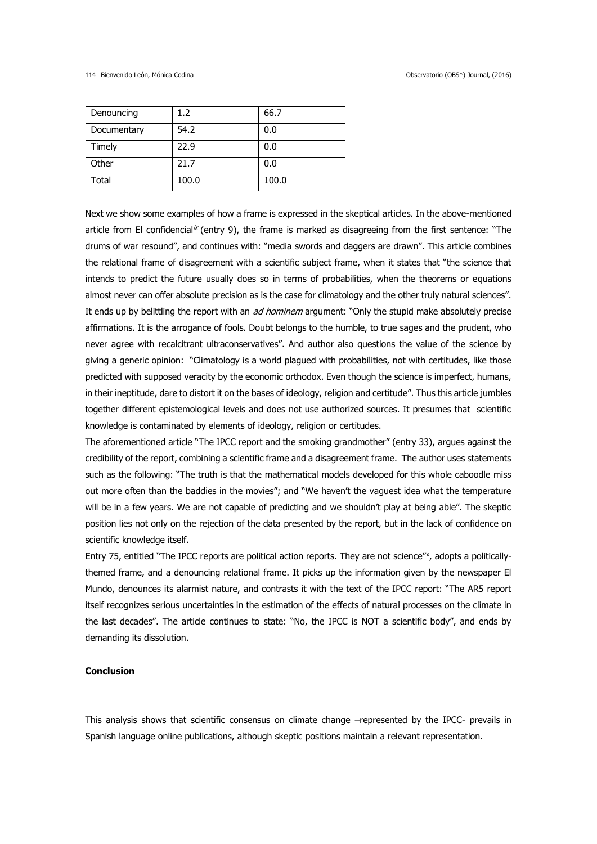| Denouncing  | 1.2   | 66.7  |
|-------------|-------|-------|
| Documentary | 54.2  | 0.0   |
| Timely      | 22.9  | 0.0   |
| Other       | 21.7  | 0.0   |
| Total       | 100.0 | 100.0 |

Next we show some examples of how a frame is expressed in the skeptical articles. In the above-mentioned article from El confidencial<sup>ix</sup> (entry 9), the frame is marked as disagreeing from the first sentence: "The drums of war resound", and continues with: "media swords and daggers are drawn". This article combines the relational frame of disagreement with a scientific subject frame, when it states that "the science that intends to predict the future usually does so in terms of probabilities, when the theorems or equations almost never can offer absolute precision as is the case for climatology and the other truly natural sciences". It ends up by belittling the report with an *ad hominem* argument: "Only the stupid make absolutely precise affirmations. It is the arrogance of fools. Doubt belongs to the humble, to true sages and the prudent, who never agree with recalcitrant ultraconservatives". And author also questions the value of the science by giving a generic opinion: "Climatology is a world plagued with probabilities, not with certitudes, like those predicted with supposed veracity by the economic orthodox. Even though the science is imperfect, humans, in their ineptitude, dare to distort it on the bases of ideology, religion and certitude". Thus this article jumbles together different epistemological levels and does not use authorized sources. It presumes that scientific knowledge is contaminated by elements of ideology, religion or certitudes.

The aforementioned article "The IPCC report and the smoking grandmother" (entry 33), argues against the credibility of the report, combining a scientific frame and a disagreement frame. The author uses statements such as the following: "The truth is that the mathematical models developed for this whole caboodle miss out more often than the baddies in the movies"; and "We haven't the vaguest idea what the temperature will be in a few years. We are not capable of predicting and we shouldn't play at being able". The skeptic position lies not only on the rejection of the data presented by the report, but in the lack of confidence on scientific knowledge itself.

Entry 75, entitled "The IPCC reports are political action reports. They are not science"<sup>x</sup>, adopts a politicallythemed frame, and a denouncing relational frame. It picks up the information given by the newspaper El Mundo, denounces its alarmist nature, and contrasts it with the text of the IPCC report: "The AR5 report itself recognizes serious uncertainties in the estimation of the effects of natural processes on the climate in the last decades". The article continues to state: "No, the IPCC is NOT a scientific body", and ends by demanding its dissolution.

### **Conclusion**

This analysis shows that scientific consensus on climate change –represented by the IPCC- prevails in Spanish language online publications, although skeptic positions maintain a relevant representation.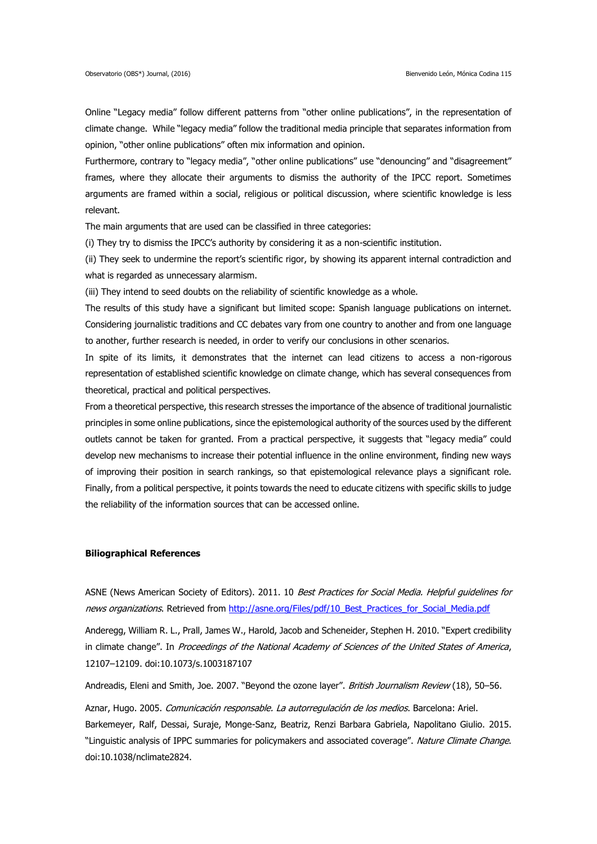Online "Legacy media" follow different patterns from "other online publications", in the representation of climate change. While "legacy media" follow the traditional media principle that separates information from opinion, "other online publications" often mix information and opinion.

Furthermore, contrary to "legacy media", "other online publications" use "denouncing" and "disagreement" frames, where they allocate their arguments to dismiss the authority of the IPCC report. Sometimes arguments are framed within a social, religious or political discussion, where scientific knowledge is less relevant.

The main arguments that are used can be classified in three categories:

(i) They try to dismiss the IPCC's authority by considering it as a non-scientific institution.

(ii) They seek to undermine the report's scientific rigor, by showing its apparent internal contradiction and what is regarded as unnecessary alarmism.

(iii) They intend to seed doubts on the reliability of scientific knowledge as a whole.

The results of this study have a significant but limited scope: Spanish language publications on internet. Considering journalistic traditions and CC debates vary from one country to another and from one language to another, further research is needed, in order to verify our conclusions in other scenarios.

In spite of its limits, it demonstrates that the internet can lead citizens to access a non-rigorous representation of established scientific knowledge on climate change, which has several consequences from theoretical, practical and political perspectives.

From a theoretical perspective, this research stresses the importance of the absence of traditional journalistic principles in some online publications, since the epistemological authority of the sources used by the different outlets cannot be taken for granted. From a practical perspective, it suggests that "legacy media" could develop new mechanisms to increase their potential influence in the online environment, finding new ways of improving their position in search rankings, so that epistemological relevance plays a significant role. Finally, from a political perspective, it points towards the need to educate citizens with specific skills to judge the reliability of the information sources that can be accessed online.

## **Biliographical References**

ASNE (News American Society of Editors). 2011. 10 Best Practices for Social Media. Helpful quidelines for news organizations. Retrieved from [http://asne.org/Files/pdf/10\\_Best\\_Practices\\_for\\_Social\\_Media.pdf](http://asne.org/Files/pdf/10_Best_Practices_for_Social_Media.pdf)

Anderegg, William R. L., Prall, James W., Harold, Jacob and Scheneider, Stephen H. 2010. "Expert credibility in climate change". In Proceedings of the National Academy of Sciences of the United States of America, 12107–12109. doi:10.1073/s.1003187107

Andreadis, Eleni and Smith, Joe. 2007. "Beyond the ozone layer". British Journalism Review (18), 50-56.

Aznar, Hugo. 2005. Comunicación responsable. La autorregulación de los medios. Barcelona: Ariel. Barkemeyer, Ralf, Dessai, Suraje, Monge-Sanz, Beatriz, Renzi Barbara Gabriela, Napolitano Giulio. 2015. "Linguistic analysis of IPPC summaries for policymakers and associated coverage". Nature Climate Change. doi:10.1038/nclimate2824.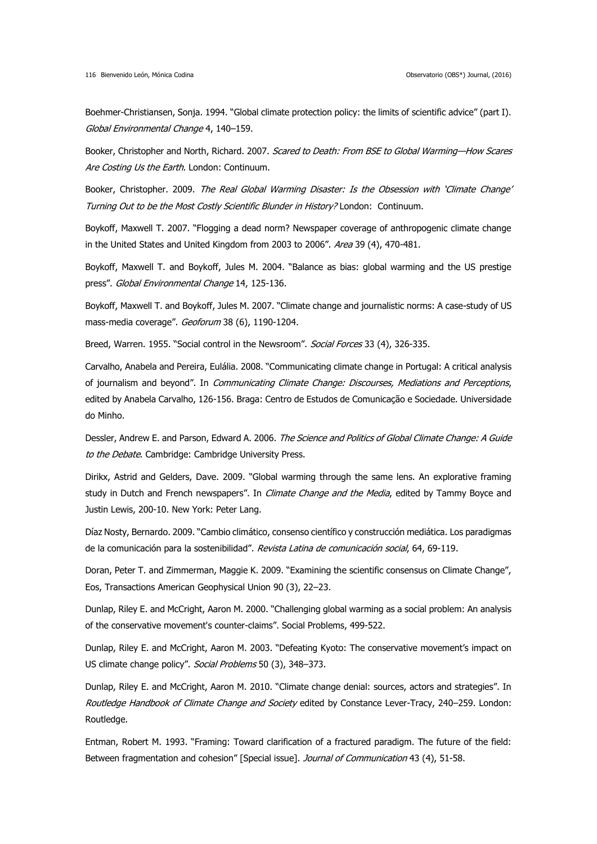Boehmer-Christiansen, Sonja. 1994. "Global climate protection policy: the limits of scientific advice" (part I). Global Environmental Change 4, 140–159.

Booker, Christopher and North, Richard. 2007. Scared to Death: From BSE to Global Warming—How Scares Are Costing Us the Earth. London: Continuum.

Booker, Christopher. 2009. The Real Global Warming Disaster: Is the Obsession with 'Climate Change' Turning Out to be the Most Costly Scientific Blunder in History? London: Continuum.

Boykoff, Maxwell T. 2007. "Flogging a dead norm? Newspaper coverage of anthropogenic climate change in the United States and United Kingdom from 2003 to 2006". Area 39 (4), 470-481.

Boykoff, Maxwell T. and Boykoff, Jules M. 2004. "Balance as bias: global warming and the US prestige press". Global Environmental Change 14, 125-136.

Boykoff, Maxwell T. and Boykoff, Jules M. 2007. "Climate change and journalistic norms: A case-study of US mass-media coverage". Geoforum 38 (6), 1190-1204.

Breed, Warren. 1955. "Social control in the Newsroom". Social Forces 33 (4), 326-335.

Carvalho, Anabela and Pereira, Eulália. 2008. "Communicating climate change in Portugal: A critical analysis of journalism and beyond". In Communicating Climate Change: Discourses, Mediations and Perceptions, edited by Anabela Carvalho, 126-156. Braga: Centro de Estudos de Comunicação e Sociedade. Universidade do Minho.

Dessler, Andrew E. and Parson, Edward A. 2006. The Science and Politics of Global Climate Change: A Guide to the Debate. Cambridge: Cambridge University Press.

Dirikx, Astrid and Gelders, Dave. 2009. "Global warming through the same lens. An explorative framing study in Dutch and French newspapers". In Climate Change and the Media, edited by Tammy Boyce and Justin Lewis, 200-10. New York: Peter Lang.

Díaz Nosty, Bernardo. 2009. "Cambio climático, consenso científico y construcción mediática. Los paradigmas de la comunicación para la sostenibilidad". Revista Latina de comunicación social, 64, 69-119.

Doran, Peter T. and Zimmerman, Maggie K. 2009. "Examining the scientific consensus on Climate Change", Eos, Transactions American Geophysical Union 90 (3), 22–23.

Dunlap, Riley E. and McCright, Aaron M. 2000. "Challenging global warming as a social problem: An analysis of the conservative movement's counter-claims". Social Problems, 499-522.

Dunlap, Riley E. and McCright, Aaron M. 2003. "Defeating Kyoto: The conservative movement's impact on US climate change policy". Social Problems 50 (3), 348-373.

Dunlap, Riley E. and McCright, Aaron M. 2010. "Climate change denial: sources, actors and strategies". In Routledge Handbook of Climate Change and Society edited by Constance Lever-Tracy, 240-259. London: Routledge.

Entman, Robert M. 1993. "Framing: Toward clarification of a fractured paradigm. The future of the field: Between fragmentation and cohesion" [Special issue]. Journal of Communication 43 (4), 51-58.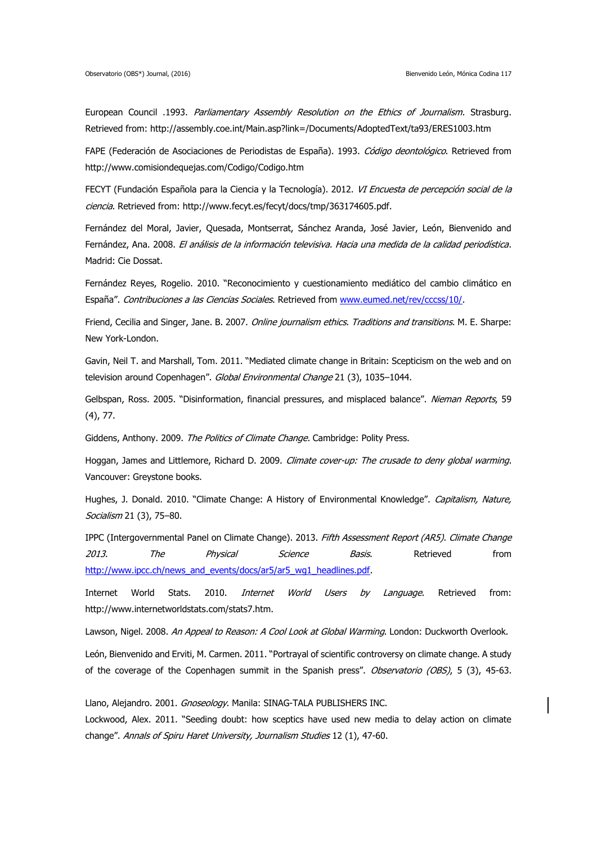European Council .1993. Parliamentary Assembly Resolution on the Ethics of Journalism. Strasburg. Retrieved from: http://assembly.coe.int/Main.asp?link=/Documents/AdoptedText/ta93/ERES1003.htm

FAPE (Federación de Asociaciones de Periodistas de España). 1993. Código deontológico. Retrieved from http://www.comisiondequejas.com/Codigo/Codigo.htm

FECYT (Fundación Española para la Ciencia y la Tecnología). 2012. VI Encuesta de percepción social de la ciencia. Retrieved from: http://www.fecyt.es/fecyt/docs/tmp/363174605.pdf.

Fernández del Moral, Javier, Quesada, Montserrat, Sánchez Aranda, José Javier, León, Bienvenido and Fernández, Ana. 2008. El análisis de la información televisiva. Hacia una medida de la calidad periodística. Madrid: Cie Dossat.

Fernández Reyes, Rogelio. 2010. "Reconocimiento y cuestionamiento mediático del cambio climático en España". Contribuciones a las Ciencias Sociales. Retrieved from [www.eumed.net/rev/cccss/10/.](http://www.eumed.net/rev/cccss/10/)

Friend, Cecilia and Singer, Jane. B. 2007. Online journalism ethics. Traditions and transitions. M. E. Sharpe: New York-London.

Gavin, Neil T. and Marshall, Tom. 2011. "Mediated climate change in Britain: Scepticism on the web and on television around Copenhagen". Global Environmental Change 21 (3), 1035-1044.

Gelbspan, Ross. 2005. "Disinformation, financial pressures, and misplaced balance". Nieman Reports, 59 (4), 77.

Giddens, Anthony. 2009. The Politics of Climate Change. Cambridge: Polity Press.

Hoggan, James and Littlemore, Richard D. 2009. Climate cover-up: The crusade to deny global warming. Vancouver: Greystone books.

Hughes, J. Donald. 2010. "Climate Change: A History of Environmental Knowledge". Capitalism, Nature, Socialism 21 (3), 75-80.

IPPC (Intergovernmental Panel on Climate Change). 2013. Fifth Assessment Report (AR5). Climate Change 2013. The Physical Science Basis. Retrieved from [http://www.ipcc.ch/news\\_and\\_events/docs/ar5/ar5\\_wg1\\_headlines.pdf.](http://www.ipcc.ch/news_and_events/docs/ar5/ar5_wg1_headlines.pdf)

Internet World Stats. 2010. *Internet World Users by Language*. Retrieved from: http://www.internetworldstats.com/stats7.htm.

Lawson, Nigel. 2008. An Appeal to Reason: A Cool Look at Global Warming. London: Duckworth Overlook.

León, Bienvenido and Erviti, M. Carmen. 2011. "Portrayal of scientific controversy on climate change. A study of the coverage of the Copenhagen summit in the Spanish press". Observatorio (OBS), 5 (3), 45-63.

Llano, Alejandro. 2001. Gnoseology. Manila: SINAG-TALA PUBLISHERS INC. Lockwood, Alex. 2011. "Seeding doubt: how sceptics have used new media to delay action on climate change". Annals of Spiru Haret University, Journalism Studies 12 (1), 47-60.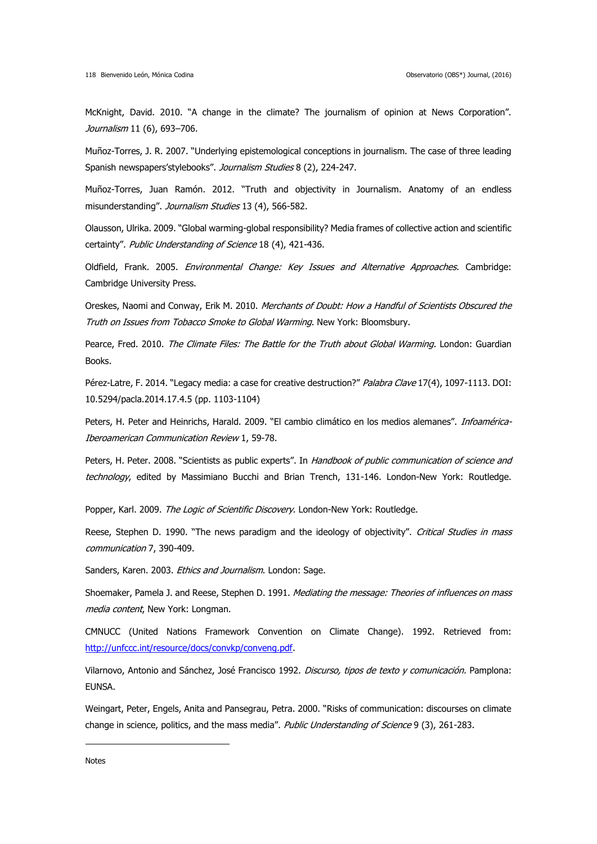McKnight, David. 2010. "A change in the climate? The journalism of opinion at News Corporation". Journalism 11 (6), 693-706.

Muñoz-Torres, J. R. 2007. "Underlying epistemological conceptions in journalism. The case of three leading Spanish newspapers'stylebooks". Journalism Studies 8 (2), 224-247.

Muñoz-Torres, Juan Ramón. 2012. "Truth and objectivity in Journalism. Anatomy of an endless misunderstanding". Journalism Studies 13 (4), 566-582.

Olausson, Ulrika. 2009. "Global warming-global responsibility? Media frames of collective action and scientific certainty". Public Understanding of Science 18 (4), 421-436.

Oldfield, Frank. 2005. Environmental Change: Key Issues and Alternative Approaches. Cambridge: Cambridge University Press.

Oreskes, Naomi and Conway, Erik M. 2010. Merchants of Doubt: How a Handful of Scientists Obscured the Truth on Issues from Tobacco Smoke to Global Warming. New York: Bloomsbury.

Pearce, Fred. 2010. The Climate Files: The Battle for the Truth about Global Warming. London: Guardian Books.

Pérez-Latre, F. 2014. "Legacy media: a case for creative destruction?" Palabra Clave 17(4), 1097-1113. DOI: 10.5294/pacla.2014.17.4.5 (pp. 1103-1104)

Peters, H. Peter and Heinrichs, Harald. 2009. "El cambio climático en los medios alemanes". Infoamérica-Iberoamerican Communication Review 1, 59-78.

Peters, H. Peter. 2008. "Scientists as public experts". In Handbook of public communication of science and technology, edited by Massimiano Bucchi and Brian Trench, 131-146. London-New York: Routledge.

Popper, Karl. 2009. The Logic of Scientific Discovery. London-New York: Routledge.

Reese, Stephen D. 1990. "The news paradigm and the ideology of objectivity". Critical Studies in mass communication 7, 390-409.

Sanders, Karen. 2003. Ethics and Journalism. London: Sage.

Shoemaker, Pamela J. and Reese, Stephen D. 1991. Mediating the message: Theories of influences on mass media content, New York: Longman.

CMNUCC (United Nations Framework Convention on Climate Change). 1992. Retrieved from: [http://unfccc.int/resource/docs/convkp/conveng.pdf.](http://unfccc.int/resource/docs/convkp/conveng.pdf)

Vilarnovo, Antonio and Sánchez, José Francisco 1992. Discurso, tipos de texto y comunicación. Pamplona: EUNSA.

Weingart, Peter, Engels, Anita and Pansegrau, Petra. 2000. "Risks of communication: discourses on climate change in science, politics, and the mass media". Public Understanding of Science 9 (3), 261-283.

**Notes** 

1